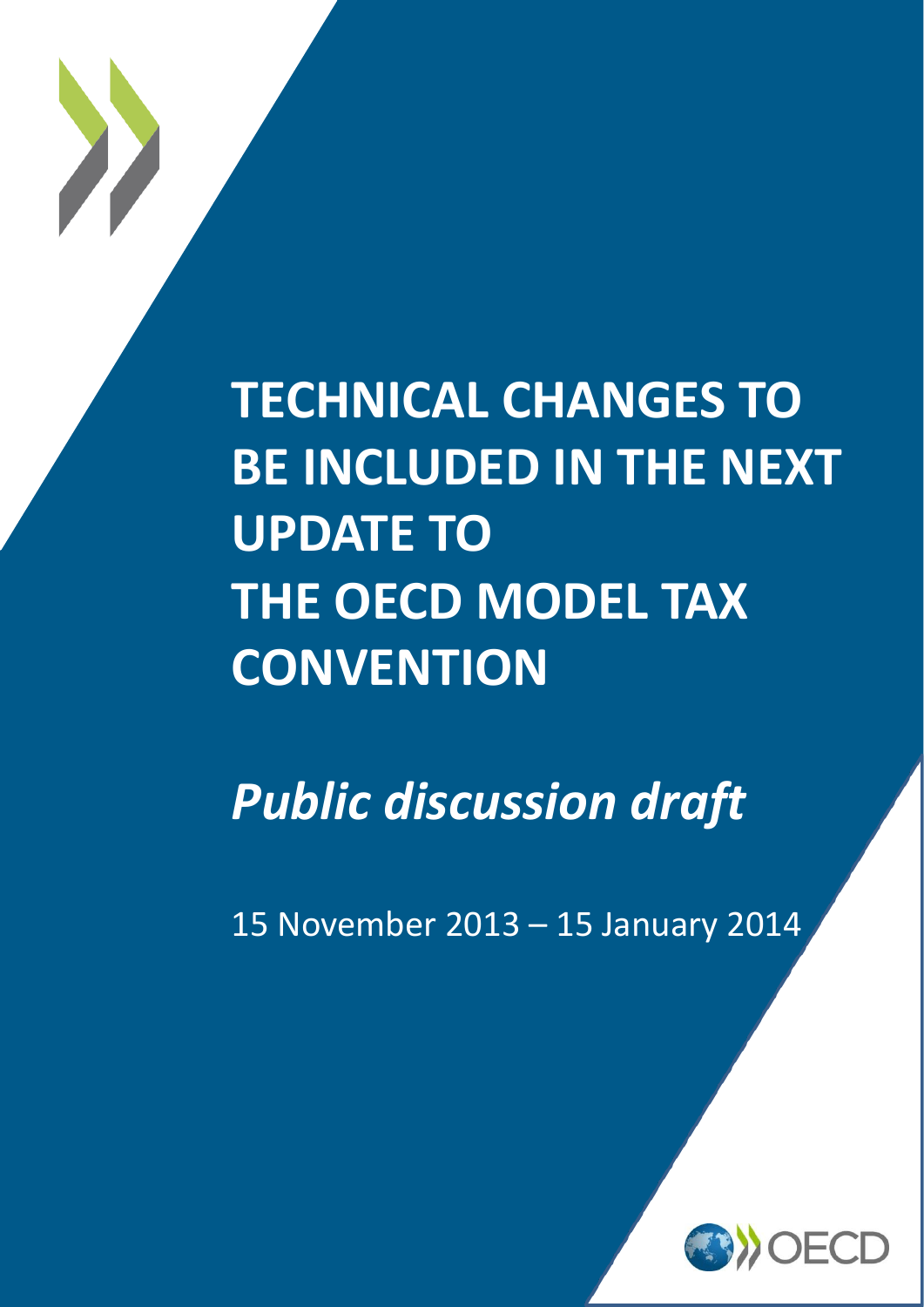

*Public discussion draft*

15 November 2013 – 15 January 2014

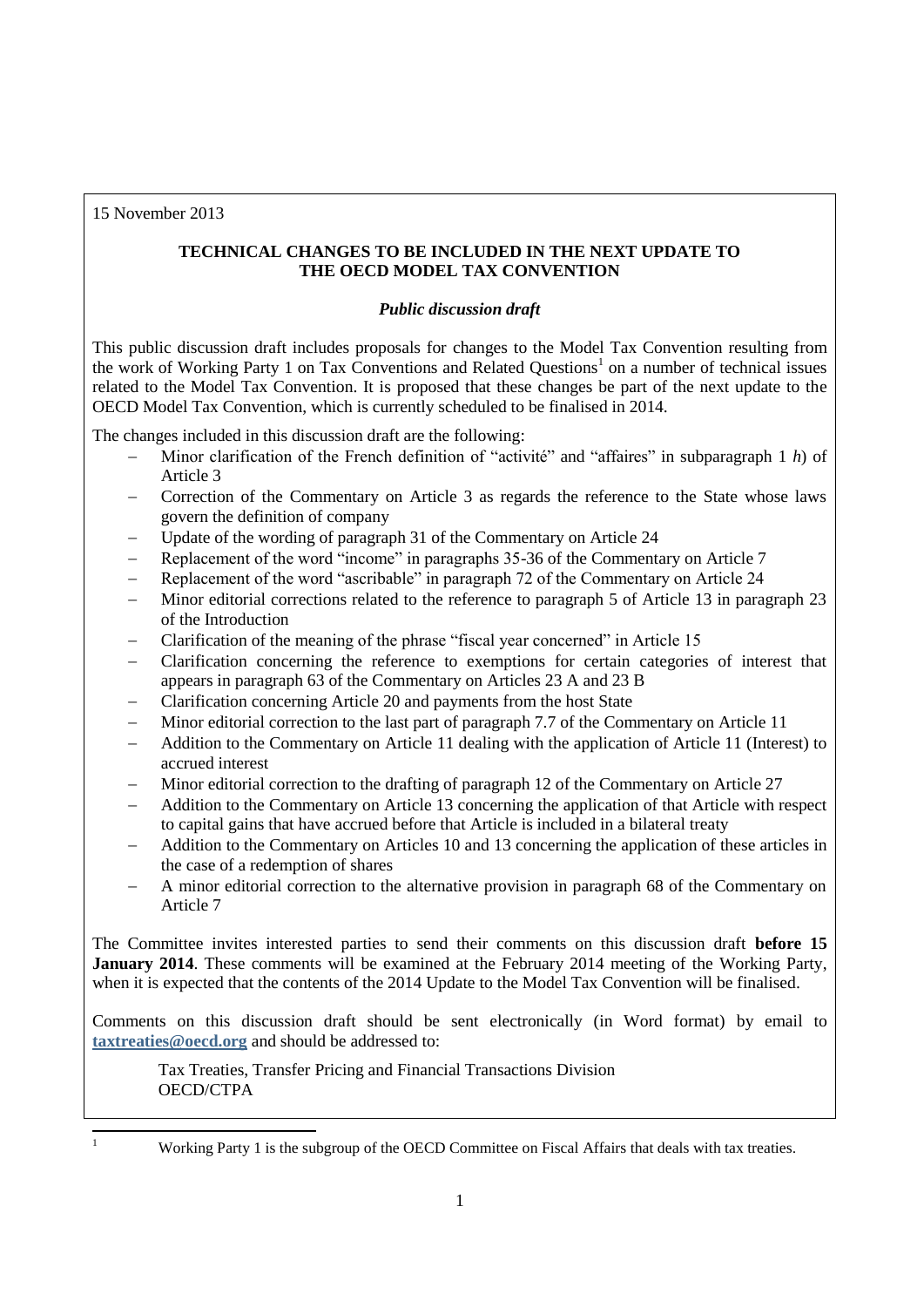15 November 2013

# **TECHNICAL CHANGES TO BE INCLUDED IN THE NEXT UPDATE TO THE OECD MODEL TAX CONVENTION**

# *Public discussion draft*

This public discussion draft includes proposals for changes to the Model Tax Convention resulting from the work of Working Party 1 on Tax Conventions and Related Questions<sup>1</sup> on a number of technical issues related to the Model Tax Convention. It is proposed that these changes be part of the next update to the OECD Model Tax Convention, which is currently scheduled to be finalised in 2014.

The changes included in this discussion draft are the following:

- Minor clarification of the French definition of "activité" and "affaires" in subparagraph 1 *h*) of Article 3
- Correction of the Commentary on Article 3 as regards the reference to the State whose laws govern the definition of company
- Update of the wording of paragraph 31 of the Commentary on Article 24
- Replacement of the word "income" in paragraphs 35-36 of the Commentary on Article 7
- Replacement of the word "ascribable" in paragraph 72 of the Commentary on Article 24
- Minor editorial corrections related to the reference to paragraph 5 of Article 13 in paragraph 23 of the Introduction
- Clarification of the meaning of the phrase "fiscal year concerned" in Article 15
- Clarification concerning the reference to exemptions for certain categories of interest that appears in paragraph 63 of the Commentary on Articles 23 A and 23 B
- Clarification concerning Article 20 and payments from the host State
- Minor editorial correction to the last part of paragraph 7.7 of the Commentary on Article 11
- Addition to the Commentary on Article 11 dealing with the application of Article 11 (Interest) to accrued interest
- Minor editorial correction to the drafting of paragraph 12 of the Commentary on Article 27
- Addition to the Commentary on Article 13 concerning the application of that Article with respect to capital gains that have accrued before that Article is included in a bilateral treaty
- Addition to the Commentary on Articles 10 and 13 concerning the application of these articles in the case of a redemption of shares
- A minor editorial correction to the alternative provision in paragraph 68 of the Commentary on Article 7

The Committee invites interested parties to send their comments on this discussion draft **before 15 January 2014**. These comments will be examined at the February 2014 meeting of the Working Party, when it is expected that the contents of the 2014 Update to the Model Tax Convention will be finalised.

Comments on this discussion draft should be sent electronically (in Word format) by email to **[taxtreaties@oecd.org](mailto:taxtreaties@oecd.org)** and should be addressed to:

Tax Treaties, Transfer Pricing and Financial Transactions Division OECD/CTPA

 $\overline{a}$ 

Working Party 1 is the subgroup of the OECD Committee on Fiscal Affairs that deals with tax treaties.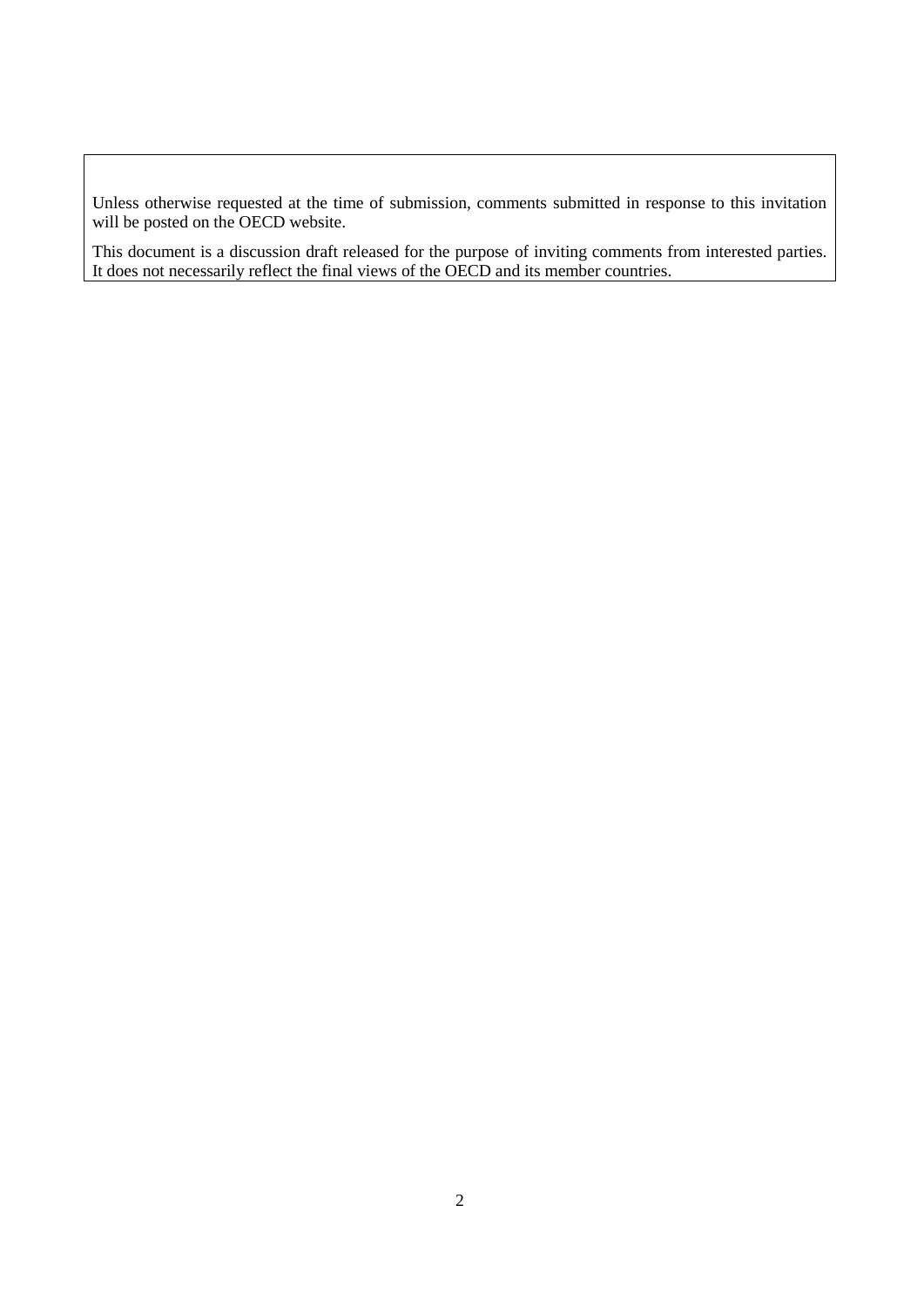Unless otherwise requested at the time of submission, comments submitted in response to this invitation will be posted on the OECD website.

This document is a discussion draft released for the purpose of inviting comments from interested parties. It does not necessarily reflect the final views of the OECD and its member countries.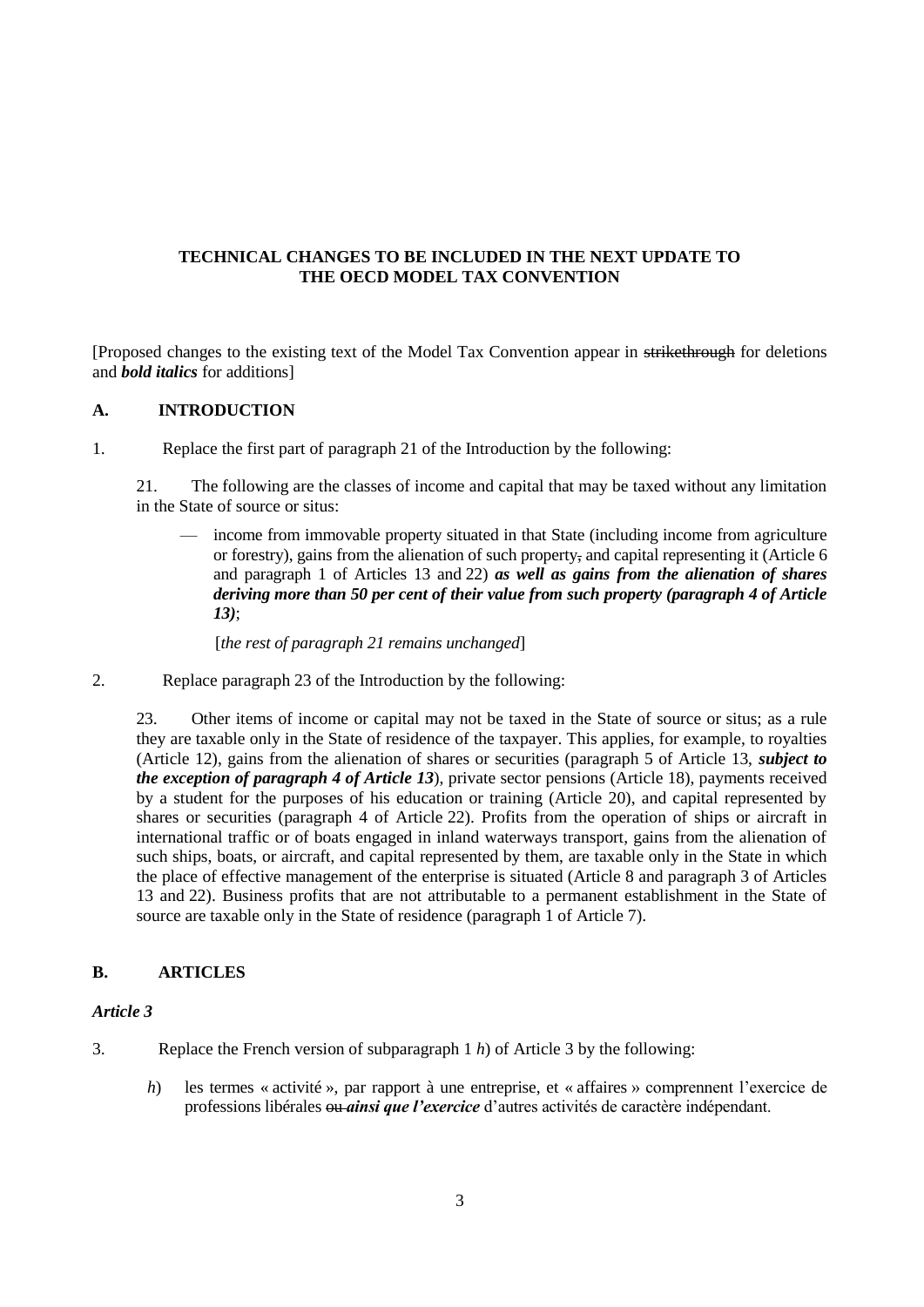## **TECHNICAL CHANGES TO BE INCLUDED IN THE NEXT UPDATE TO THE OECD MODEL TAX CONVENTION**

[Proposed changes to the existing text of the Model Tax Convention appear in strikethrough for deletions and *bold italics* for additions]

#### **A. INTRODUCTION**

1. Replace the first part of paragraph 21 of the Introduction by the following:

21. The following are the classes of income and capital that may be taxed without any limitation in the State of source or situs:

— income from immovable property situated in that State (including income from agriculture or forestry), gains from the alienation of such property, and capital representing it (Article 6 and paragraph 1 of Articles 13 and 22) *as well as gains from the alienation of shares deriving more than 50 per cent of their value from such property (paragraph 4 of Article 13)*;

[*the rest of paragraph 21 remains unchanged*]

2. Replace paragraph 23 of the Introduction by the following:

23. Other items of income or capital may not be taxed in the State of source or situs; as a rule they are taxable only in the State of residence of the taxpayer. This applies, for example, to royalties (Article 12), gains from the alienation of shares or securities (paragraph 5 of Article 13, *subject to the exception of paragraph 4 of Article 13*), private sector pensions (Article 18), payments received by a student for the purposes of his education or training (Article 20), and capital represented by shares or securities (paragraph 4 of Article 22). Profits from the operation of ships or aircraft in international traffic or of boats engaged in inland waterways transport, gains from the alienation of such ships, boats, or aircraft, and capital represented by them, are taxable only in the State in which the place of effective management of the enterprise is situated (Article 8 and paragraph 3 of Articles 13 and 22). Business profits that are not attributable to a permanent establishment in the State of source are taxable only in the State of residence (paragraph 1 of Article 7).

### **B. ARTICLES**

#### *Article 3*

- 3. Replace the French version of subparagraph 1 *h*) of Article 3 by the following:
	- *h*) les termes « activité », par rapport à une entreprise, et « affaires » comprennent l'exercice de professions libérales ou *ainsi que l'exercice* d'autres activités de caractère indépendant.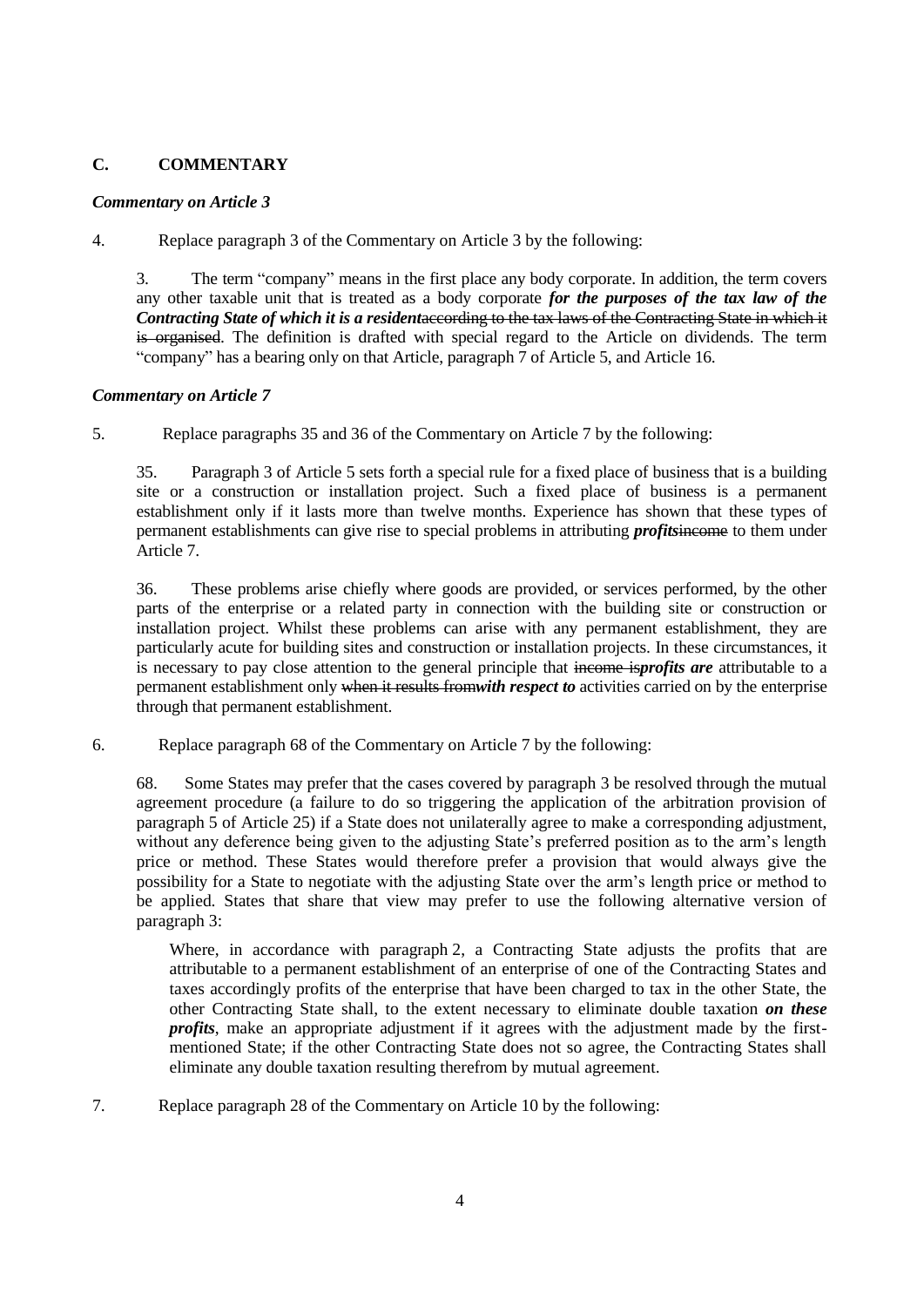## **C. COMMENTARY**

### *Commentary on Article 3*

4. Replace paragraph 3 of the Commentary on Article 3 by the following:

3. The term "company" means in the first place any body corporate. In addition, the term covers any other taxable unit that is treated as a body corporate *for the purposes of the tax law of the Contracting State of which it is a resident*according to the tax laws of the Contracting State in which it is organised. The definition is drafted with special regard to the Article on dividends. The term "company" has a bearing only on that Article, [paragraph 7](javascript:jumpTB() o[f Article 5,](javascript:jumpTB() and [Article](javascript:jumpTB() 16.

### *Commentary on Article 7*

5. Replace paragraphs 35 and 36 of the Commentary on Article 7 by the following:

35. Paragraph 3 of Article 5 sets forth a special rule for a fixed place of business that is a building site or a construction or installation project. Such a fixed place of business is a permanent establishment only if it lasts more than twelve months. Experience has shown that these types of permanent establishments can give rise to special problems in attributing *profits*income to them under Article 7.

36. These problems arise chiefly where goods are provided, or services performed, by the other parts of the enterprise or a related party in connection with the building site or construction or installation project. Whilst these problems can arise with any permanent establishment, they are particularly acute for building sites and construction or installation projects. In these circumstances, it is necessary to pay close attention to the general principle that income is*profits are* attributable to a permanent establishment only when it results from*with respect to* activities carried on by the enterprise through that permanent establishment.

6. Replace paragraph 68 of the Commentary on Article 7 by the following:

68. Some States may prefer that the cases covered by paragraph 3 be resolved through the mutual agreement procedure (a failure to do so triggering the application of the arbitration provision of paragraph 5 of Article 25) if a State does not unilaterally agree to make a corresponding adjustment, without any deference being given to the adjusting State's preferred position as to the arm's length price or method. These States would therefore prefer a provision that would always give the possibility for a State to negotiate with the adjusting State over the arm's length price or method to be applied. States that share that view may prefer to use the following alternative version of paragraph 3:

Where, in accordance with paragraph 2, a Contracting State adjusts the profits that are attributable to a permanent establishment of an enterprise of one of the Contracting States and taxes accordingly profits of the enterprise that have been charged to tax in the other State, the other Contracting State shall, to the extent necessary to eliminate double taxation *on these profits*, make an appropriate adjustment if it agrees with the adjustment made by the firstmentioned State; if the other Contracting State does not so agree, the Contracting States shall eliminate any double taxation resulting therefrom by mutual agreement.

7. Replace paragraph 28 of the Commentary on Article 10 by the following: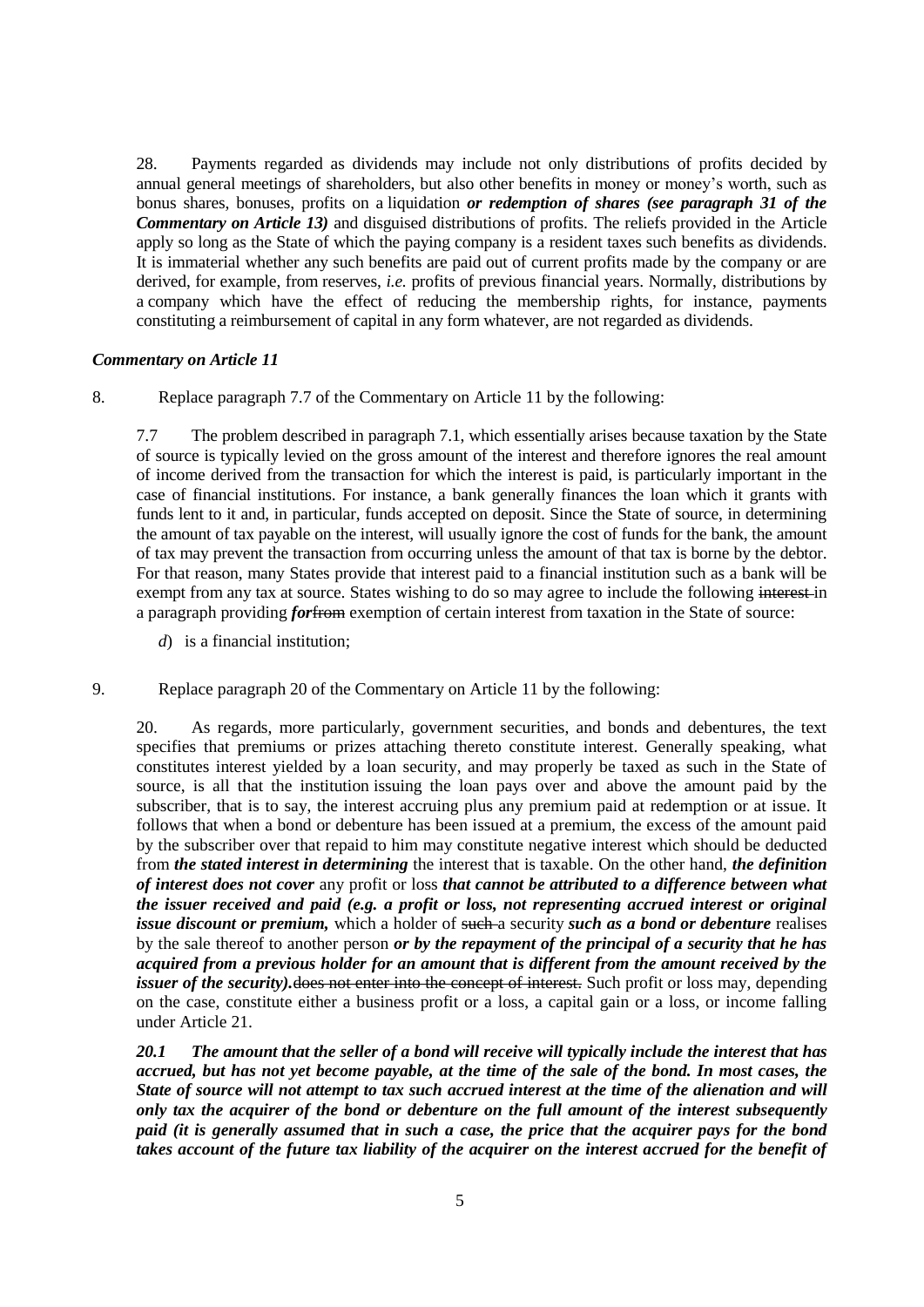28. Payments regarded as dividends may include not only distributions of profits decided by annual general meetings of shareholders, but also other benefits in money or money's worth, such as bonus shares, bonuses, profits on a liquidation *or redemption of shares (see paragraph 31 of the Commentary on Article 13)* and disguised distributions of profits. The reliefs provided in the Article apply so long as the State of which the paying company is a resident taxes such benefits as dividends. It is immaterial whether any such benefits are paid out of current profits made by the company or are derived, for example, from reserves, *i.e.* profits of previous financial years. Normally, distributions by a company which have the effect of reducing the membership rights, for instance, payments constituting a reimbursement of capital in any form whatever, are not regarded as dividends.

#### *Commentary on Article 11*

8. Replace paragraph 7.7 of the Commentary on Article 11 by the following:

7.7 The problem described in paragraph 7.1, which essentially arises because taxation by the State of source is typically levied on the gross amount of the interest and therefore ignores the real amount of income derived from the transaction for which the interest is paid, is particularly important in the case of financial institutions. For instance, a bank generally finances the loan which it grants with funds lent to it and, in particular, funds accepted on deposit. Since the State of source, in determining the amount of tax payable on the interest, will usually ignore the cost of funds for the bank, the amount of tax may prevent the transaction from occurring unless the amount of that tax is borne by the debtor. For that reason, many States provide that interest paid to a financial institution such as a bank will be exempt from any tax at source. States wishing to do so may agree to include the following interest in a paragraph providing *for*from exemption of certain interest from taxation in the State of source:

- *d*) is a financial institution;
- 9. Replace paragraph 20 of the Commentary on Article 11 by the following:

20. As regards, more particularly, government securities, and bonds and debentures, the text specifies that premiums or prizes attaching thereto constitute interest. Generally speaking, what constitutes interest yielded by a loan security, and may properly be taxed as such in the State of source, is all that the institution issuing the loan pays over and above the amount paid by the subscriber, that is to say, the interest accruing plus any premium paid at redemption or at issue. It follows that when a bond or debenture has been issued at a premium, the excess of the amount paid by the subscriber over that repaid to him may constitute negative interest which should be deducted from *the stated interest in determining* the interest that is taxable. On the other hand, *the definition of interest does not cover* any profit or loss *that cannot be attributed to a difference between what the issuer received and paid (e.g. a profit or loss, not representing accrued interest or original issue discount or premium,* which a holder of such a security *such as a bond or debenture* realises by the sale thereof to another person *or by the repayment of the principal of a security that he has acquired from a previous holder for an amount that is different from the amount received by the issuer of the security*). does not enter into the concept of interest. Such profit or loss may, depending on the case, constitute either a business profit or a loss, a capital gain or a loss, or income falling under Article 21.

*20.1 The amount that the seller of a bond will receive will typically include the interest that has accrued, but has not yet become payable, at the time of the sale of the bond. In most cases, the State of source will not attempt to tax such accrued interest at the time of the alienation and will only tax the acquirer of the bond or debenture on the full amount of the interest subsequently paid (it is generally assumed that in such a case, the price that the acquirer pays for the bond takes account of the future tax liability of the acquirer on the interest accrued for the benefit of*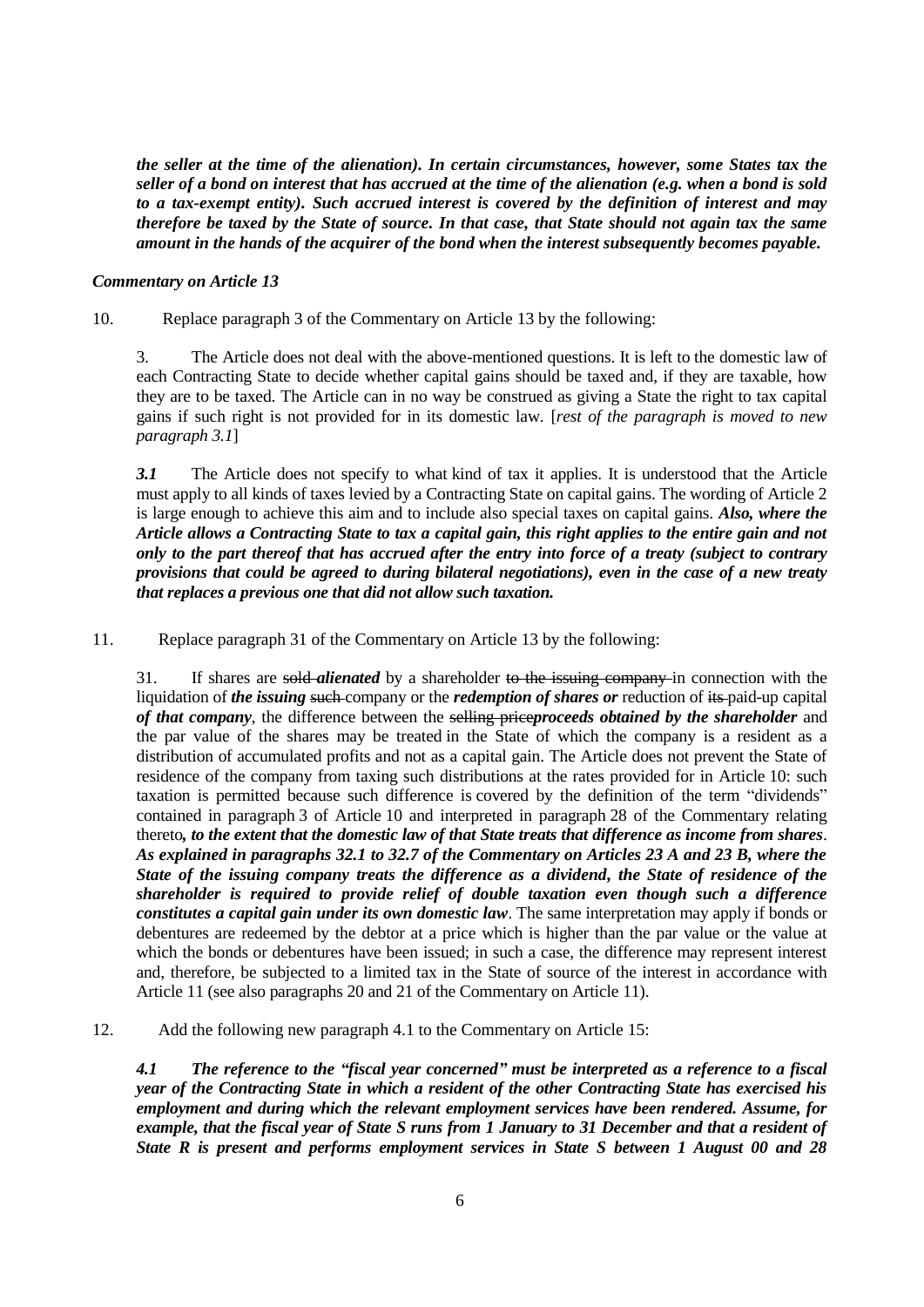*the seller at the time of the alienation). In certain circumstances, however, some States tax the seller of a bond on interest that has accrued at the time of the alienation (e.g. when a bond is sold to a tax-exempt entity). Such accrued interest is covered by the definition of interest and may therefore be taxed by the State of source. In that case, that State should not again tax the same amount in the hands of the acquirer of the bond when the interest subsequently becomes payable.* 

#### *Commentary on Article 13*

### 10. Replace paragraph 3 of the Commentary on Article 13 by the following:

3. The Article does not deal with the above-mentioned questions. It is left to the domestic law of each Contracting State to decide whether capital gains should be taxed and, if they are taxable, how they are to be taxed. The Article can in no way be construed as giving a State the right to tax capital gains if such right is not provided for in its domestic law. [*rest of the paragraph is moved to new paragraph 3.1*]

*3.1* The Article does not specify to what kind of tax it applies. It is understood that the Article must apply to all kinds of taxes levied by a Contracting State on capital gains. The wording of Article 2 is large enough to achieve this aim and to include also special taxes on capital gains. *Also, where the Article allows a Contracting State to tax a capital gain, this right applies to the entire gain and not only to the part thereof that has accrued after the entry into force of a treaty (subject to contrary provisions that could be agreed to during bilateral negotiations), even in the case of a new treaty that replaces a previous one that did not allow such taxation.*

11. Replace paragraph 31 of the Commentary on Article 13 by the following:

31. If shares are sold *alienated* by a shareholder to the issuing company in connection with the liquidation of *the issuing* such company or the *redemption of shares or* reduction of its paid-up capital *of that company*, the difference between the selling price*proceeds obtained by the shareholder* and the par value of the shares may be treated in the State of which the company is a resident as a distribution of accumulated profits and not as a capital gain. The Article does not prevent the State of residence of the company from taxing such distributions at the rates provided for in Article 10: such taxation is permitted because such difference is covered by the definition of the term "dividends" contained in paragraph 3 of Article 10 and interpreted in paragraph 28 of the Commentary relating thereto*, to the extent that the domestic law of that State treats that difference as income from shares*. *As explained in paragraphs 32.1 to 32.7 of the Commentary on Articles 23 A and 23 B, where the State of the issuing company treats the difference as a dividend, the State of residence of the shareholder is required to provide relief of double taxation even though such a difference constitutes a capital gain under its own domestic law*. The same interpretation may apply if bonds or debentures are redeemed by the debtor at a price which is higher than the par value or the value at which the bonds or debentures have been issued; in such a case, the difference may represent interest and, therefore, be subjected to a limited tax in the State of source of the interest in accordance with Article 11 (see also paragraphs 20 and 21 of the Commentary on Article 11).

12. Add the following new paragraph 4.1 to the Commentary on Article 15:

*4.1 The reference to the "fiscal year concerned" must be interpreted as a reference to a fiscal year of the Contracting State in which a resident of the other Contracting State has exercised his employment and during which the relevant employment services have been rendered. Assume, for example, that the fiscal year of State S runs from 1 January to 31 December and that a resident of State R is present and performs employment services in State S between 1 August 00 and 28*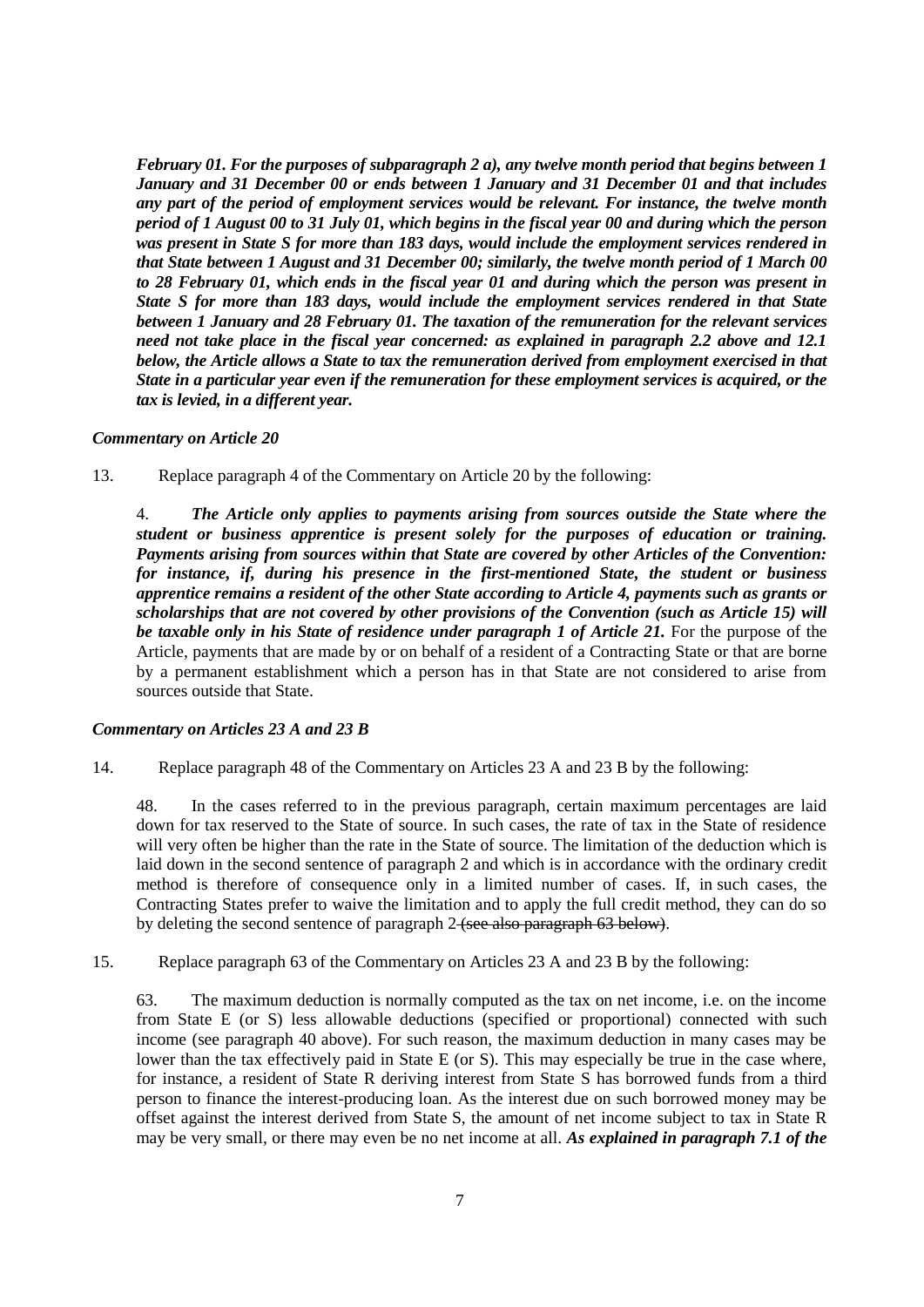*February 01. For the purposes of subparagraph 2 a), any twelve month period that begins between 1 January and 31 December 00 or ends between 1 January and 31 December 01 and that includes any part of the period of employment services would be relevant. For instance, the twelve month period of 1 August 00 to 31 July 01, which begins in the fiscal year 00 and during which the person was present in State S for more than 183 days, would include the employment services rendered in that State between 1 August and 31 December 00; similarly, the twelve month period of 1 March 00 to 28 February 01, which ends in the fiscal year 01 and during which the person was present in State S for more than 183 days, would include the employment services rendered in that State between 1 January and 28 February 01. The taxation of the remuneration for the relevant services need not take place in the fiscal year concerned: as explained in paragraph 2.2 above and 12.1 below, the Article allows a State to tax the remuneration derived from employment exercised in that State in a particular year even if the remuneration for these employment services is acquired, or the tax is levied, in a different year.* 

#### *Commentary on Article 20*

13. Replace paragraph 4 of the Commentary on Article 20 by the following:

4. *The Article only applies to payments arising from sources outside the State where the student or business apprentice is present solely for the purposes of education or training. Payments arising from sources within that State are covered by other Articles of the Convention: for instance, if, during his presence in the first-mentioned State, the student or business apprentice remains a resident of the other State according to Article 4, payments such as grants or scholarships that are not covered by other provisions of the Convention (such as Article 15) will be taxable only in his State of residence under paragraph 1 of Article 21.* For the purpose of the Article, payments that are made by or on behalf of a resident of a Contracting State or that are borne by a permanent establishment which a person has in that State are not considered to arise from sources outside that State.

#### *Commentary on Articles 23 A and 23 B*

14. Replace paragraph 48 of the Commentary on Articles 23 A and 23 B by the following:

48. In the cases referred to in the previous paragraph, certain maximum percentages are laid down for tax reserved to the State of source. In such cases, the rate of tax in the State of residence will very often be higher than the rate in the State of source. The limitation of the deduction which is laid down in the second sentence of paragraph 2 and which is in accordance with the ordinary credit method is therefore of consequence only in a limited number of cases. If, in such cases, the Contracting States prefer to waive the limitation and to apply the full credit method, they can do so by deleting the second sentence of paragraph 2 (see also paragraph 63 below).

15. Replace paragraph 63 of the Commentary on Articles 23 A and 23 B by the following:

63. The maximum deduction is normally computed as the tax on net income, i.e. on the income from State E (or S) less allowable deductions (specified or proportional) connected with such income (see paragraph 40 above). For such reason, the maximum deduction in many cases may be lower than the tax effectively paid in State E (or S). This may especially be true in the case where, for instance, a resident of State R deriving interest from State S has borrowed funds from a third person to finance the interest-producing loan. As the interest due on such borrowed money may be offset against the interest derived from State S, the amount of net income subject to tax in State R may be very small, or there may even be no net income at all. *As explained in paragraph 7.1 of the*